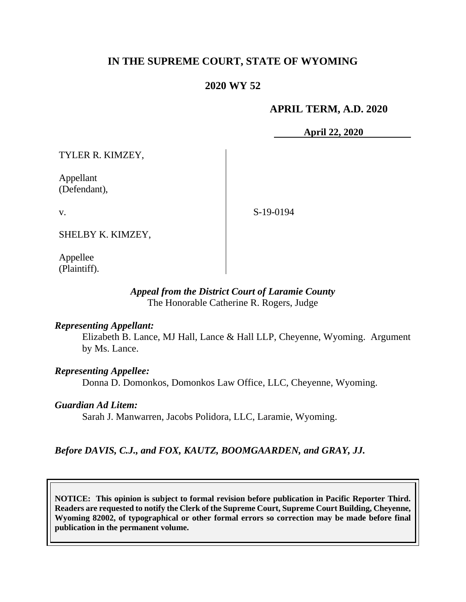## **IN THE SUPREME COURT, STATE OF WYOMING**

## **2020 WY 52**

### **APRIL TERM, A.D. 2020**

**April 22, 2020**

TYLER R. KIMZEY,

Appellant (Defendant),

v.

S-19-0194

SHELBY K. KIMZEY,

Appellee (Plaintiff).

### *Appeal from the District Court of Laramie County* The Honorable Catherine R. Rogers, Judge

### *Representing Appellant:*

Elizabeth B. Lance, MJ Hall, Lance & Hall LLP, Cheyenne, Wyoming. Argument by Ms. Lance.

### *Representing Appellee:*

Donna D. Domonkos, Domonkos Law Office, LLC, Cheyenne, Wyoming.

#### *Guardian Ad Litem:*

Sarah J. Manwarren, Jacobs Polidora, LLC, Laramie, Wyoming.

### *Before DAVIS, C.J., and FOX, KAUTZ, BOOMGAARDEN, and GRAY, JJ.*

**NOTICE: This opinion is subject to formal revision before publication in Pacific Reporter Third. Readers are requested to notify the Clerk of the Supreme Court, Supreme Court Building, Cheyenne, Wyoming 82002, of typographical or other formal errors so correction may be made before final publication in the permanent volume.**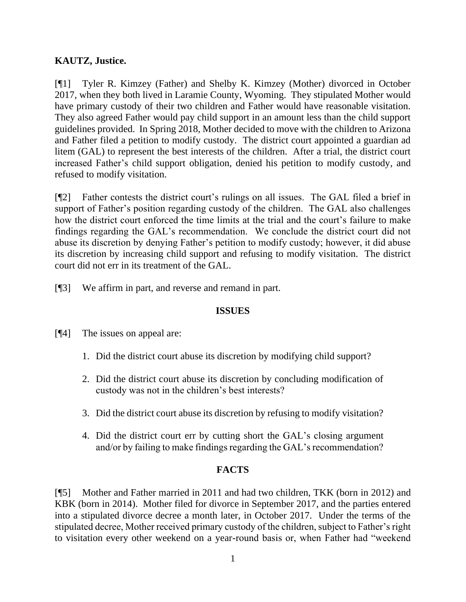## **KAUTZ, Justice.**

[¶1] Tyler R. Kimzey (Father) and Shelby K. Kimzey (Mother) divorced in October 2017, when they both lived in Laramie County, Wyoming. They stipulated Mother would have primary custody of their two children and Father would have reasonable visitation. They also agreed Father would pay child support in an amount less than the child support guidelines provided. In Spring 2018, Mother decided to move with the children to Arizona and Father filed a petition to modify custody. The district court appointed a guardian ad litem (GAL) to represent the best interests of the children. After a trial, the district court increased Father's child support obligation, denied his petition to modify custody, and refused to modify visitation.

[¶2] Father contests the district court's rulings on all issues. The GAL filed a brief in support of Father's position regarding custody of the children. The GAL also challenges how the district court enforced the time limits at the trial and the court's failure to make findings regarding the GAL's recommendation. We conclude the district court did not abuse its discretion by denying Father's petition to modify custody; however, it did abuse its discretion by increasing child support and refusing to modify visitation. The district court did not err in its treatment of the GAL.

[¶3] We affirm in part, and reverse and remand in part.

### **ISSUES**

- [¶4] The issues on appeal are:
	- 1. Did the district court abuse its discretion by modifying child support?
	- 2. Did the district court abuse its discretion by concluding modification of custody was not in the children's best interests?
	- 3. Did the district court abuse its discretion by refusing to modify visitation?
	- 4. Did the district court err by cutting short the GAL's closing argument and/or by failing to make findings regarding the GAL's recommendation?

### **FACTS**

[¶5] Mother and Father married in 2011 and had two children, TKK (born in 2012) and KBK (born in 2014). Mother filed for divorce in September 2017, and the parties entered into a stipulated divorce decree a month later, in October 2017. Under the terms of the stipulated decree, Mother received primary custody of the children, subject to Father's right to visitation every other weekend on a year-round basis or, when Father had "weekend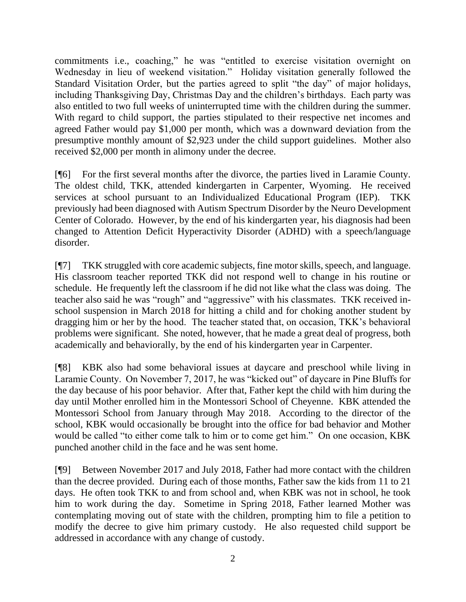commitments i.e., coaching," he was "entitled to exercise visitation overnight on Wednesday in lieu of weekend visitation." Holiday visitation generally followed the Standard Visitation Order, but the parties agreed to split "the day" of major holidays, including Thanksgiving Day, Christmas Day and the children's birthdays. Each party was also entitled to two full weeks of uninterrupted time with the children during the summer. With regard to child support, the parties stipulated to their respective net incomes and agreed Father would pay \$1,000 per month, which was a downward deviation from the presumptive monthly amount of \$2,923 under the child support guidelines. Mother also received \$2,000 per month in alimony under the decree.

[¶6] For the first several months after the divorce, the parties lived in Laramie County. The oldest child, TKK, attended kindergarten in Carpenter, Wyoming. He received services at school pursuant to an Individualized Educational Program (IEP). TKK previously had been diagnosed with Autism Spectrum Disorder by the Neuro Development Center of Colorado. However, by the end of his kindergarten year, his diagnosis had been changed to Attention Deficit Hyperactivity Disorder (ADHD) with a speech/language disorder.

[¶7] TKK struggled with core academic subjects, fine motor skills, speech, and language. His classroom teacher reported TKK did not respond well to change in his routine or schedule. He frequently left the classroom if he did not like what the class was doing. The teacher also said he was "rough" and "aggressive" with his classmates. TKK received inschool suspension in March 2018 for hitting a child and for choking another student by dragging him or her by the hood. The teacher stated that, on occasion, TKK's behavioral problems were significant. She noted, however, that he made a great deal of progress, both academically and behaviorally, by the end of his kindergarten year in Carpenter.

[¶8] KBK also had some behavioral issues at daycare and preschool while living in Laramie County. On November 7, 2017, he was "kicked out" of daycare in Pine Bluffs for the day because of his poor behavior. After that, Father kept the child with him during the day until Mother enrolled him in the Montessori School of Cheyenne. KBK attended the Montessori School from January through May 2018. According to the director of the school, KBK would occasionally be brought into the office for bad behavior and Mother would be called "to either come talk to him or to come get him." On one occasion, KBK punched another child in the face and he was sent home.

[¶9] Between November 2017 and July 2018, Father had more contact with the children than the decree provided. During each of those months, Father saw the kids from 11 to 21 days. He often took TKK to and from school and, when KBK was not in school, he took him to work during the day. Sometime in Spring 2018, Father learned Mother was contemplating moving out of state with the children, prompting him to file a petition to modify the decree to give him primary custody. He also requested child support be addressed in accordance with any change of custody.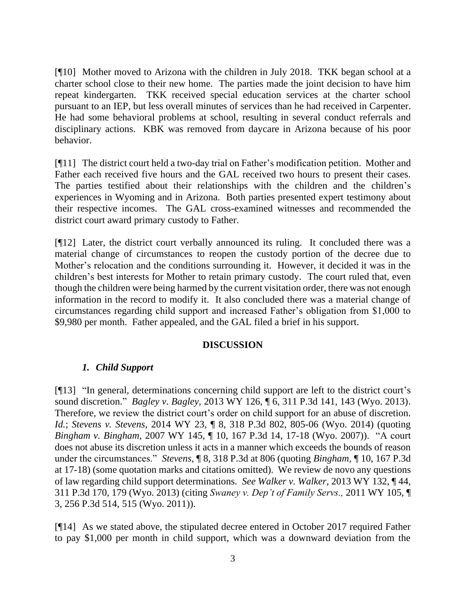[¶10] Mother moved to Arizona with the children in July 2018. TKK began school at a charter school close to their new home. The parties made the joint decision to have him repeat kindergarten. TKK received special education services at the charter school pursuant to an IEP, but less overall minutes of services than he had received in Carpenter. He had some behavioral problems at school, resulting in several conduct referrals and disciplinary actions. KBK was removed from daycare in Arizona because of his poor behavior.

[¶11] The district court held a two-day trial on Father's modification petition. Mother and Father each received five hours and the GAL received two hours to present their cases. The parties testified about their relationships with the children and the children's experiences in Wyoming and in Arizona. Both parties presented expert testimony about their respective incomes. The GAL cross-examined witnesses and recommended the district court award primary custody to Father.

[¶12] Later, the district court verbally announced its ruling. It concluded there was a material change of circumstances to reopen the custody portion of the decree due to Mother's relocation and the conditions surrounding it. However, it decided it was in the children's best interests for Mother to retain primary custody. The court ruled that, even though the children were being harmed by the current visitation order, there was not enough information in the record to modify it. It also concluded there was a material change of circumstances regarding child support and increased Father's obligation from \$1,000 to \$9,980 per month. Father appealed, and the GAL filed a brief in his support.

### **DISCUSSION**

### *1. Child Support*

[¶13] "In general, determinations concerning child support are left to the district court's sound discretion." *Bagley v. Bagley,* 2013 WY 126, ¶ 6, 311 P.3d 141, 143 (Wyo. 2013). Therefore, we review the district court's order on child support for an abuse of discretion. *Id.*; *Stevens v. Stevens,* 2014 WY 23, ¶ 8, 318 P.3d 802, 805-06 (Wyo. 2014) (quoting *Bingham v. Bingham,* 2007 WY 145, ¶ 10, 167 P.3d 14, 17-18 (Wyo. 2007)). "A court does not abuse its discretion unless it acts in a manner which exceeds the bounds of reason under the circumstances." *Stevens,* ¶ 8, 318 P.3d at 806 (quoting *Bingham,* ¶ 10, 167 P.3d at 17-18) (some quotation marks and citations omitted). We review de novo any questions of law regarding child support determinations. *See Walker v. Walker,* 2013 WY 132, ¶ 44, 311 P.3d 170, 179 (Wyo. 2013) (citing *Swaney v. Dep't of Family Servs.,* 2011 WY 105, ¶ 3, 256 P.3d 514, 515 (Wyo. 2011)).

[¶14] As we stated above, the stipulated decree entered in October 2017 required Father to pay \$1,000 per month in child support, which was a downward deviation from the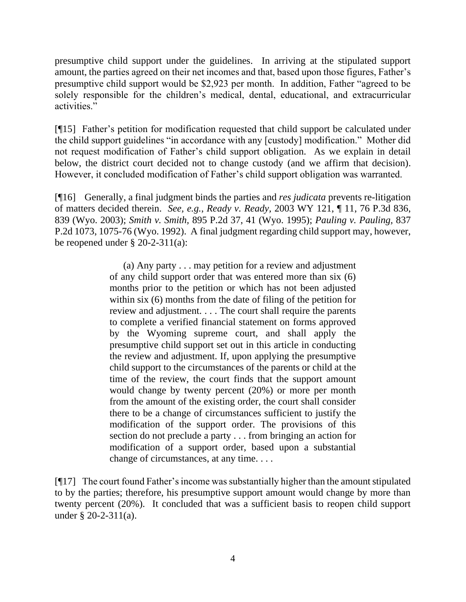presumptive child support under the guidelines. In arriving at the stipulated support amount, the parties agreed on their net incomes and that, based upon those figures, Father's presumptive child support would be \$2,923 per month. In addition, Father "agreed to be solely responsible for the children's medical, dental, educational, and extracurricular activities."

[¶15] Father's petition for modification requested that child support be calculated under the child support guidelines "in accordance with any [custody] modification." Mother did not request modification of Father's child support obligation. As we explain in detail below, the district court decided not to change custody (and we affirm that decision). However, it concluded modification of Father's child support obligation was warranted.

[¶16] Generally, a final judgment binds the parties and *res judicata* prevents re-litigation of matters decided therein. *See, e.g.*, *Ready v. Ready,* 2003 WY 121, ¶ 11, 76 P.3d 836, 839 (Wyo. 2003); *Smith v. Smith,* 895 P.2d 37, 41 (Wyo. 1995); *Pauling v. Pauling,* 837 P.2d 1073, 1075-76 (Wyo. 1992). A final judgment regarding child support may, however, be reopened under § 20-2-311(a):

> (a) Any party . . . may petition for a review and adjustment of any child support order that was entered more than six (6) months prior to the petition or which has not been adjusted within six (6) months from the date of filing of the petition for review and adjustment. . . . The court shall require the parents to complete a verified financial statement on forms approved by the Wyoming supreme court, and shall apply the presumptive child support set out in this article in conducting the review and adjustment. If, upon applying the presumptive child support to the circumstances of the parents or child at the time of the review, the court finds that the support amount would change by twenty percent (20%) or more per month from the amount of the existing order, the court shall consider there to be a change of circumstances sufficient to justify the modification of the support order. The provisions of this section do not preclude a party . . . from bringing an action for modification of a support order, based upon a substantial change of circumstances, at any time. . . .

[¶17] The court found Father's income was substantially higher than the amount stipulated to by the parties; therefore, his presumptive support amount would change by more than twenty percent (20%). It concluded that was a sufficient basis to reopen child support under § 20-2-311(a).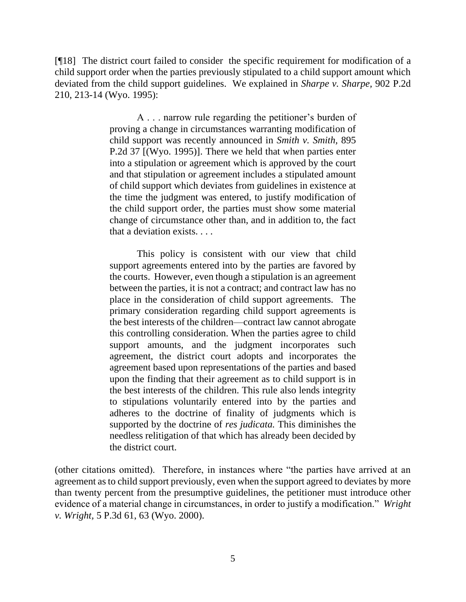[¶18] The district court failed to consider the specific requirement for modification of a child support order when the parties previously stipulated to a child support amount which deviated from the child support guidelines. We explained in *Sharpe v. Sharpe,* 902 P.2d 210, 213-14 (Wyo. 1995):

> A . . . narrow rule regarding the petitioner's burden of proving a change in circumstances warranting modification of child support was recently announced in *Smith v. Smith,* 895 P.2d 37 [(Wyo. 1995)]. There we held that when parties enter into a stipulation or agreement which is approved by the court and that stipulation or agreement includes a stipulated amount of child support which deviates from guidelines in existence at the time the judgment was entered, to justify modification of the child support order, the parties must show some material change of circumstance other than, and in addition to, the fact that a deviation exists. . . .

> This policy is consistent with our view that child support agreements entered into by the parties are favored by the courts. However, even though a stipulation is an agreement between the parties, it is not a contract; and contract law has no place in the consideration of child support agreements. The primary consideration regarding child support agreements is the best interests of the children—contract law cannot abrogate this controlling consideration. When the parties agree to child support amounts, and the judgment incorporates such agreement, the district court adopts and incorporates the agreement based upon representations of the parties and based upon the finding that their agreement as to child support is in the best interests of the children. This rule also lends integrity to stipulations voluntarily entered into by the parties and adheres to the doctrine of finality of judgments which is supported by the doctrine of *res judicata.* This diminishes the needless relitigation of that which has already been decided by the district court.

(other citations omitted). Therefore, in instances where "the parties have arrived at an agreement as to child support previously, even when the support agreed to deviates by more than twenty percent from the presumptive guidelines, the petitioner must introduce other evidence of a material change in circumstances, in order to justify a modification." *Wright v. Wright,* 5 P.3d 61, 63 (Wyo. 2000).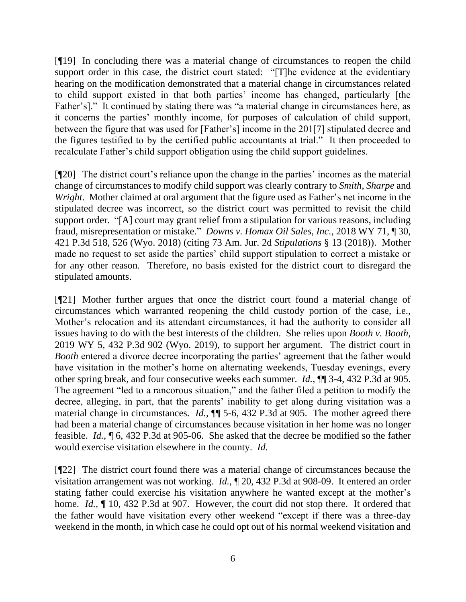[¶19] In concluding there was a material change of circumstances to reopen the child support order in this case, the district court stated: "[T]he evidence at the evidentiary hearing on the modification demonstrated that a material change in circumstances related to child support existed in that both parties' income has changed, particularly [the Father's]." It continued by stating there was "a material change in circumstances here, as it concerns the parties' monthly income, for purposes of calculation of child support, between the figure that was used for [Father's] income in the 201[7] stipulated decree and the figures testified to by the certified public accountants at trial." It then proceeded to recalculate Father's child support obligation using the child support guidelines.

[¶20] The district court's reliance upon the change in the parties' incomes as the material change of circumstances to modify child support was clearly contrary to *Smith, Sharpe* and *Wright*. Mother claimed at oral argument that the figure used as Father's net income in the stipulated decree was incorrect, so the district court was permitted to revisit the child support order. "[A] court may grant relief from a stipulation for various reasons, including fraud, misrepresentation or mistake." *Downs v. Homax Oil Sales, Inc.,* 2018 WY 71, ¶ 30, 421 P.3d 518, 526 (Wyo. 2018) (citing 73 Am. Jur. 2d *Stipulations* § 13 (2018)). Mother made no request to set aside the parties' child support stipulation to correct a mistake or for any other reason. Therefore, no basis existed for the district court to disregard the stipulated amounts.

[¶21] Mother further argues that once the district court found a material change of circumstances which warranted reopening the child custody portion of the case, i.e., Mother's relocation and its attendant circumstances, it had the authority to consider all issues having to do with the best interests of the children. She relies upon *Booth v. Booth,*  2019 WY 5, 432 P.3d 902 (Wyo. 2019), to support her argument. The district court in *Booth* entered a divorce decree incorporating the parties' agreement that the father would have visitation in the mother's home on alternating weekends, Tuesday evenings, every other spring break, and four consecutive weeks each summer. *Id.,* ¶¶ 3-4, 432 P.3d at 905. The agreement "led to a rancorous situation," and the father filed a petition to modify the decree, alleging, in part, that the parents' inability to get along during visitation was a material change in circumstances. *Id.*,  $\P$  5-6, 432 P.3d at 905. The mother agreed there had been a material change of circumstances because visitation in her home was no longer feasible. *Id.,* ¶ 6, 432 P.3d at 905-06.She asked that the decree be modified so the father would exercise visitation elsewhere in the county. *Id.* 

[¶22] The district court found there was a material change of circumstances because the visitation arrangement was not working. *Id.,* ¶ 20, 432 P.3d at 908-09. It entered an order stating father could exercise his visitation anywhere he wanted except at the mother's home. *Id.,* ¶ 10, 432 P.3d at 907. However, the court did not stop there. It ordered that the father would have visitation every other weekend "except if there was a three-day weekend in the month, in which case he could opt out of his normal weekend visitation and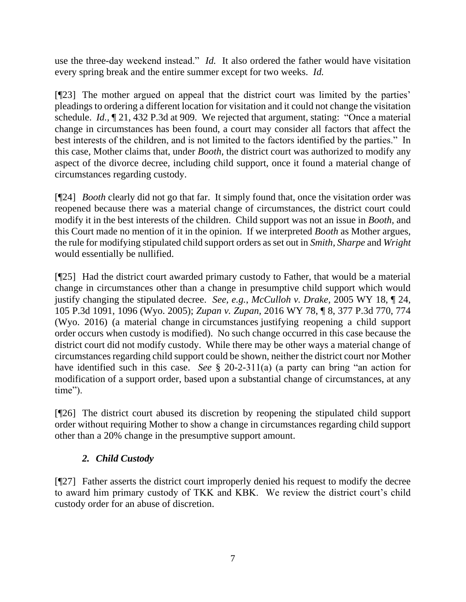use the three-day weekend instead." *Id.* It also ordered the father would have visitation every spring break and the entire summer except for two weeks. *Id.*

[¶23] The mother argued on appeal that the district court was limited by the parties' pleadings to ordering a different location for visitation and it could not change the visitation schedule. *Id.,* ¶ 21, 432 P.3d at 909. We rejected that argument, stating: "Once a material change in circumstances has been found, a court may consider all factors that affect the best interests of the children, and is not limited to the factors identified by the parties." In this case, Mother claims that, under *Booth*, the district court was authorized to modify any aspect of the divorce decree, including child support, once it found a material change of circumstances regarding custody.

[¶24] *Booth* clearly did not go that far. It simply found that, once the visitation order was reopened because there was a material change of circumstances, the district court could modify it in the best interests of the children. Child support was not an issue in *Booth,* and this Court made no mention of it in the opinion. If we interpreted *Booth* as Mother argues, the rule for modifying stipulated child support orders as set out in *Smith, Sharpe* and *Wright*  would essentially be nullified.

[¶25] Had the district court awarded primary custody to Father, that would be a material change in circumstances other than a change in presumptive child support which would justify changing the stipulated decree. *See, e.g.*, *McCulloh v. Drake,* 2005 WY 18, ¶ 24, 105 P.3d 1091, 1096 (Wyo. 2005); *Zupan v. Zupan,* 2016 WY 78, ¶ 8, 377 P.3d 770, 774 (Wyo. 2016) (a material change in circumstances justifying reopening a child support order occurs when custody is modified). No such change occurred in this case because the district court did not modify custody. While there may be other ways a material change of circumstances regarding child support could be shown, neither the district court nor Mother have identified such in this case. *See* § 20-2-311(a) (a party can bring "an action for modification of a support order, based upon a substantial change of circumstances, at any time").

[¶26] The district court abused its discretion by reopening the stipulated child support order without requiring Mother to show a change in circumstances regarding child support other than a 20% change in the presumptive support amount.

# *2. Child Custody*

[¶27] Father asserts the district court improperly denied his request to modify the decree to award him primary custody of TKK and KBK. We review the district court's child custody order for an abuse of discretion.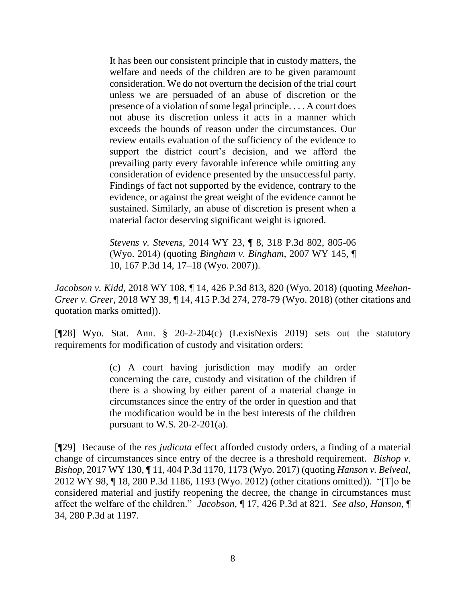It has been our consistent principle that in custody matters, the welfare and needs of the children are to be given paramount consideration. We do not overturn the decision of the trial court unless we are persuaded of an abuse of discretion or the presence of a violation of some legal principle. . . . A court does not abuse its discretion unless it acts in a manner which exceeds the bounds of reason under the circumstances. Our review entails evaluation of the sufficiency of the evidence to support the district court's decision, and we afford the prevailing party every favorable inference while omitting any consideration of evidence presented by the unsuccessful party. Findings of fact not supported by the evidence, contrary to the evidence, or against the great weight of the evidence cannot be sustained. Similarly, an abuse of discretion is present when a material factor deserving significant weight is ignored.

*Stevens v. Stevens,* 2014 WY 23, ¶ 8, 318 P.3d 802, 805-06 (Wyo. 2014) (quoting *Bingham v. Bingham,* 2007 WY 145, ¶ 10, 167 P.3d 14, 17–18 (Wyo. 2007)).

*Jacobson v. Kidd,* 2018 WY 108, ¶ 14, 426 P.3d 813, 820 (Wyo. 2018) (quoting *Meehan-Greer v. Greer,* 2018 WY 39, ¶ 14, 415 P.3d 274, 278-79 (Wyo. 2018) (other citations and quotation marks omitted)).

[¶28] Wyo. Stat. Ann. § 20-2-204(c) (LexisNexis 2019) sets out the statutory requirements for modification of custody and visitation orders:

> (c) A court having jurisdiction may modify an order concerning the care, custody and visitation of the children if there is a showing by either parent of a material change in circumstances since the entry of the order in question and that the modification would be in the best interests of the children pursuant to W.S.  $20-2-201(a)$ .

[¶29] Because of the *res judicata* effect afforded custody orders, a finding of a material change of circumstances since entry of the decree is a threshold requirement. *Bishop v. Bishop,* 2017 WY 130, ¶ 11, 404 P.3d 1170, 1173 (Wyo. 2017) (quoting *Hanson v. Belveal,* 2012 WY 98, ¶ 18, 280 P.3d 1186, 1193 (Wyo. 2012) (other citations omitted)). "[T]o be considered material and justify reopening the decree, the change in circumstances must affect the welfare of the children." *Jacobson,* ¶ 17, 426 P.3d at 821. *See also, Hanson,* ¶ 34, 280 P.3d at 1197.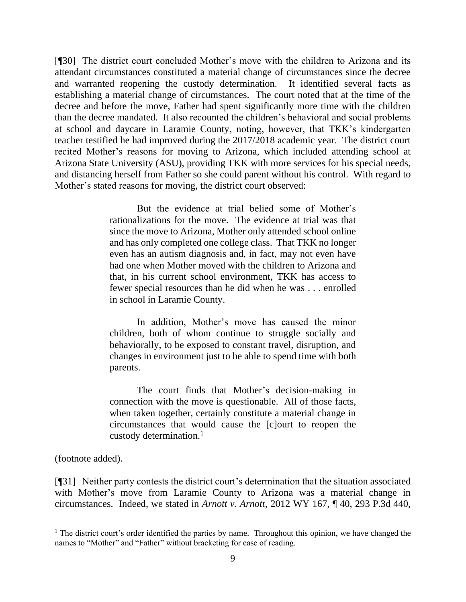[¶30] The district court concluded Mother's move with the children to Arizona and its attendant circumstances constituted a material change of circumstances since the decree and warranted reopening the custody determination. It identified several facts as establishing a material change of circumstances. The court noted that at the time of the decree and before the move, Father had spent significantly more time with the children than the decree mandated. It also recounted the children's behavioral and social problems at school and daycare in Laramie County, noting, however, that TKK's kindergarten teacher testified he had improved during the 2017/2018 academic year. The district court recited Mother's reasons for moving to Arizona, which included attending school at Arizona State University (ASU), providing TKK with more services for his special needs, and distancing herself from Father so she could parent without his control. With regard to Mother's stated reasons for moving, the district court observed:

> But the evidence at trial belied some of Mother's rationalizations for the move. The evidence at trial was that since the move to Arizona, Mother only attended school online and has only completed one college class. That TKK no longer even has an autism diagnosis and, in fact, may not even have had one when Mother moved with the children to Arizona and that, in his current school environment, TKK has access to fewer special resources than he did when he was . . . enrolled in school in Laramie County.

> In addition, Mother's move has caused the minor children, both of whom continue to struggle socially and behaviorally, to be exposed to constant travel, disruption, and changes in environment just to be able to spend time with both parents.

> The court finds that Mother's decision-making in connection with the move is questionable. All of those facts, when taken together, certainly constitute a material change in circumstances that would cause the [c]ourt to reopen the custody determination. $<sup>1</sup>$ </sup>

(footnote added).

[¶31] Neither party contests the district court's determination that the situation associated with Mother's move from Laramie County to Arizona was a material change in circumstances. Indeed, we stated in *Arnott v. Arnott,* 2012 WY 167, ¶ 40, 293 P.3d 440,

 $1$ . The district court's order identified the parties by name. Throughout this opinion, we have changed the names to "Mother" and "Father" without bracketing for ease of reading.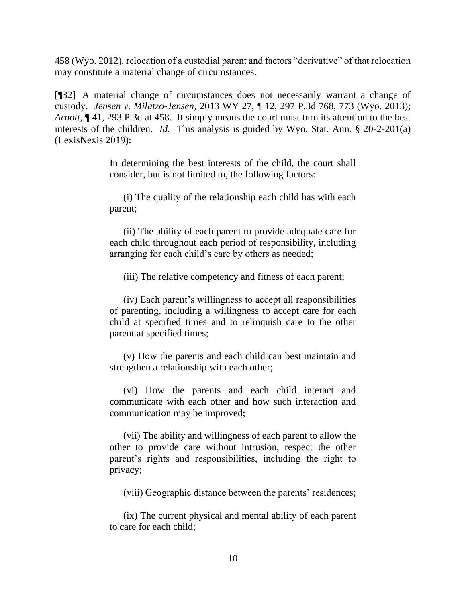458 (Wyo. 2012), relocation of a custodial parent and factors "derivative" of that relocation may constitute a material change of circumstances.

[¶32] A material change of circumstances does not necessarily warrant a change of custody. *Jensen v. Milatzo-Jensen,* 2013 WY 27, ¶ 12, 297 P.3d 768, 773 (Wyo. 2013); *Arnott,* ¶ 41, 293 P.3d at 458. It simply means the court must turn its attention to the best interests of the children. *Id.* This analysis is guided by Wyo. Stat. Ann. § 20-2-201(a) (LexisNexis 2019):

> In determining the best interests of the child, the court shall consider, but is not limited to, the following factors:

> (i) The quality of the relationship each child has with each parent;

> (ii) The ability of each parent to provide adequate care for each child throughout each period of responsibility, including arranging for each child's care by others as needed;

(iii) The relative competency and fitness of each parent;

(iv) Each parent's willingness to accept all responsibilities of parenting, including a willingness to accept care for each child at specified times and to relinquish care to the other parent at specified times;

(v) How the parents and each child can best maintain and strengthen a relationship with each other;

(vi) How the parents and each child interact and communicate with each other and how such interaction and communication may be improved;

(vii) The ability and willingness of each parent to allow the other to provide care without intrusion, respect the other parent's rights and responsibilities, including the right to privacy;

(viii) Geographic distance between the parents' residences;

(ix) The current physical and mental ability of each parent to care for each child;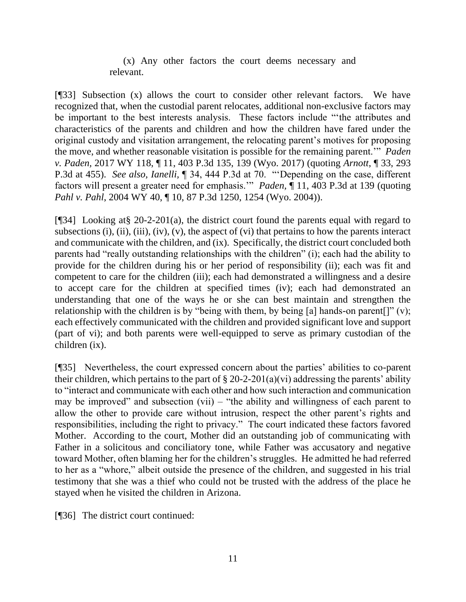### (x) Any other factors the court deems necessary and relevant.

[¶33] Subsection (x) allows the court to consider other relevant factors. We have recognized that, when the custodial parent relocates, additional non-exclusive factors may be important to the best interests analysis. These factors include "'the attributes and characteristics of the parents and children and how the children have fared under the original custody and visitation arrangement, the relocating parent's motives for proposing the move, and whether reasonable visitation is possible for the remaining parent.'" *Paden v. Paden,* 2017 WY 118, ¶ 11, 403 P.3d 135, 139 (Wyo. 2017) (quoting *Arnott*, ¶ 33, 293 P.3d at 455). *See also, Ianelli,* ¶ 34, 444 P.3d at 70. "'Depending on the case, different factors will present a greater need for emphasis.'" *Paden,* ¶ 11, 403 P.3d at 139 (quoting *Pahl v. Pahl*, 2004 WY 40, ¶ 10, 87 P.3d 1250, 1254 (Wyo. 2004)).

[¶34] Looking at§ 20-2-201(a), the district court found the parents equal with regard to subsections (i), (ii), (iii), (iv), (v), the aspect of (vi) that pertains to how the parents interact and communicate with the children, and (ix). Specifically, the district court concluded both parents had "really outstanding relationships with the children" (i); each had the ability to provide for the children during his or her period of responsibility (ii); each was fit and competent to care for the children (iii); each had demonstrated a willingness and a desire to accept care for the children at specified times (iv); each had demonstrated an understanding that one of the ways he or she can best maintain and strengthen the relationship with the children is by "being with them, by being [a] hands-on parent[]" (v); each effectively communicated with the children and provided significant love and support (part of vi); and both parents were well-equipped to serve as primary custodian of the children (ix).

[¶35] Nevertheless, the court expressed concern about the parties' abilities to co-parent their children, which pertains to the part of  $\S 20-2-201(a)(vi)$  addressing the parents' ability to "interact and communicate with each other and how such interaction and communication may be improved" and subsection  $(vii)$  – "the ability and willingness of each parent to allow the other to provide care without intrusion, respect the other parent's rights and responsibilities, including the right to privacy." The court indicated these factors favored Mother. According to the court, Mother did an outstanding job of communicating with Father in a solicitous and conciliatory tone, while Father was accusatory and negative toward Mother, often blaming her for the children's struggles. He admitted he had referred to her as a "whore," albeit outside the presence of the children, and suggested in his trial testimony that she was a thief who could not be trusted with the address of the place he stayed when he visited the children in Arizona.

[¶36] The district court continued: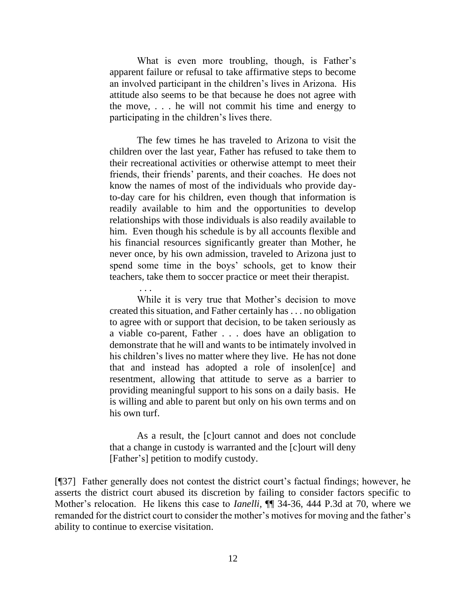What is even more troubling, though, is Father's apparent failure or refusal to take affirmative steps to become an involved participant in the children's lives in Arizona. His attitude also seems to be that because he does not agree with the move, . . . he will not commit his time and energy to participating in the children's lives there.

The few times he has traveled to Arizona to visit the children over the last year, Father has refused to take them to their recreational activities or otherwise attempt to meet their friends, their friends' parents, and their coaches. He does not know the names of most of the individuals who provide dayto-day care for his children, even though that information is readily available to him and the opportunities to develop relationships with those individuals is also readily available to him. Even though his schedule is by all accounts flexible and his financial resources significantly greater than Mother, he never once, by his own admission, traveled to Arizona just to spend some time in the boys' schools, get to know their teachers, take them to soccer practice or meet their therapist.

. . . While it is very true that Mother's decision to move created this situation, and Father certainly has . . . no obligation to agree with or support that decision, to be taken seriously as a viable co-parent, Father . . . does have an obligation to demonstrate that he will and wants to be intimately involved in his children's lives no matter where they live. He has not done that and instead has adopted a role of insolen[ce] and resentment, allowing that attitude to serve as a barrier to providing meaningful support to his sons on a daily basis. He is willing and able to parent but only on his own terms and on his own turf.

As a result, the [c]ourt cannot and does not conclude that a change in custody is warranted and the [c]ourt will deny [Father's] petition to modify custody.

[¶37] Father generally does not contest the district court's factual findings; however, he asserts the district court abused its discretion by failing to consider factors specific to Mother's relocation. He likens this case to *Ianelli,* ¶¶ 34-36, 444 P.3d at 70, where we remanded for the district court to consider the mother's motives for moving and the father's ability to continue to exercise visitation.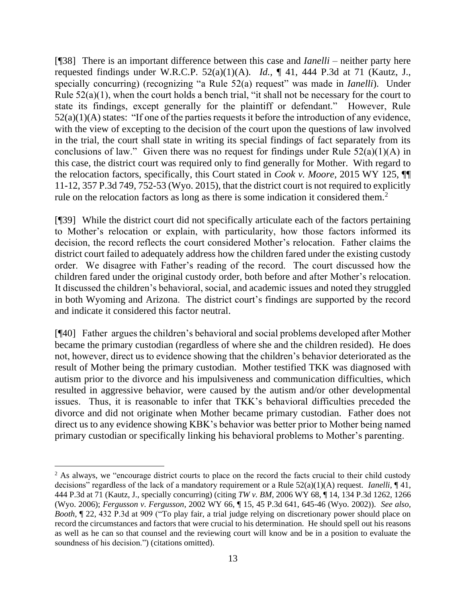[¶38] There is an important difference between this case and *Ianelli* – neither party here requested findings under W.R.C.P. 52(a)(1)(A). *Id.,* ¶ 41, 444 P.3d at 71 (Kautz, J., specially concurring) (recognizing "a Rule 52(a) request" was made in *Ianelli*). Under Rule 52(a)(1), when the court holds a bench trial, "it shall not be necessary for the court to state its findings, except generally for the plaintiff or defendant." However, Rule  $52(a)(1)(A)$  states: "If one of the parties requests it before the introduction of any evidence, with the view of excepting to the decision of the court upon the questions of law involved in the trial, the court shall state in writing its special findings of fact separately from its conclusions of law." Given there was no request for findings under Rule  $52(a)(1)(A)$  in this case, the district court was required only to find generally for Mother. With regard to the relocation factors, specifically, this Court stated in *Cook v. Moore,* 2015 WY 125, ¶¶ 11-12, 357 P.3d 749, 752-53 (Wyo. 2015), that the district court is not required to explicitly rule on the relocation factors as long as there is some indication it considered them.<sup>2</sup>

[¶39] While the district court did not specifically articulate each of the factors pertaining to Mother's relocation or explain, with particularity, how those factors informed its decision, the record reflects the court considered Mother's relocation. Father claims the district court failed to adequately address how the children fared under the existing custody order. We disagree with Father's reading of the record. The court discussed how the children fared under the original custody order, both before and after Mother's relocation. It discussed the children's behavioral, social, and academic issues and noted they struggled in both Wyoming and Arizona. The district court's findings are supported by the record and indicate it considered this factor neutral.

[¶40] Father argues the children's behavioral and social problems developed after Mother became the primary custodian (regardless of where she and the children resided). He does not, however, direct us to evidence showing that the children's behavior deteriorated as the result of Mother being the primary custodian. Mother testified TKK was diagnosed with autism prior to the divorce and his impulsiveness and communication difficulties, which resulted in aggressive behavior, were caused by the autism and/or other developmental issues. Thus, it is reasonable to infer that TKK's behavioral difficulties preceded the divorce and did not originate when Mother became primary custodian. Father does not direct us to any evidence showing KBK's behavior was better prior to Mother being named primary custodian or specifically linking his behavioral problems to Mother's parenting.

<sup>&</sup>lt;sup>2</sup> As always, we "encourage district courts to place on the record the facts crucial to their child custody decisions" regardless of the lack of a mandatory requirement or a Rule 52(a)(1)(A) request. *Ianelli,* ¶ 41, 444 P.3d at 71 (Kautz, J., specially concurring) (citing *TW v. BM*, 2006 WY 68, ¶ 14, 134 P.3d 1262, 1266 (Wyo. 2006); *Fergusson v. Fergusson*, 2002 WY 66, ¶ 15, 45 P.3d 641, 645-46 (Wyo. 2002)). *See also, Booth,* ¶ 22, 432 P.3d at 909 ("To play fair, a trial judge relying on discretionary power should place on record the circumstances and factors that were crucial to his determination. He should spell out his reasons as well as he can so that counsel and the reviewing court will know and be in a position to evaluate the soundness of his decision.") (citations omitted).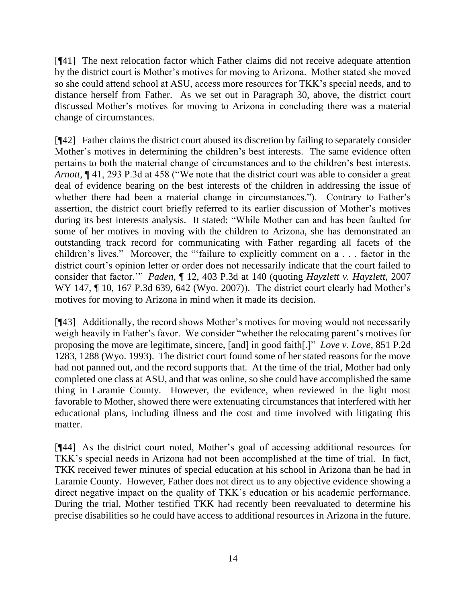[¶41] The next relocation factor which Father claims did not receive adequate attention by the district court is Mother's motives for moving to Arizona. Mother stated she moved so she could attend school at ASU, access more resources for TKK's special needs, and to distance herself from Father. As we set out in Paragraph 30, above, the district court discussed Mother's motives for moving to Arizona in concluding there was a material change of circumstances.

[¶42] Father claims the district court abused its discretion by failing to separately consider Mother's motives in determining the children's best interests. The same evidence often pertains to both the material change of circumstances and to the children's best interests. *Arnott,* ¶ 41, 293 P.3d at 458 ("We note that the district court was able to consider a great deal of evidence bearing on the best interests of the children in addressing the issue of whether there had been a material change in circumstances."). Contrary to Father's assertion, the district court briefly referred to its earlier discussion of Mother's motives during its best interests analysis. It stated: "While Mother can and has been faulted for some of her motives in moving with the children to Arizona, she has demonstrated an outstanding track record for communicating with Father regarding all facets of the children's lives." Moreover, the "'failure to explicitly comment on a . . . factor in the district court's opinion letter or order does not necessarily indicate that the court failed to consider that factor.'" *Paden,* ¶ 12, 403 P.3d at 140 (quoting *Hayzlett v. Hayzlett*, 2007 WY 147, ¶ 10, 167 P.3d 639, 642 (Wyo. 2007)). The district court clearly had Mother's motives for moving to Arizona in mind when it made its decision.

[¶43] Additionally, the record shows Mother's motives for moving would not necessarily weigh heavily in Father's favor. We consider "whether the relocating parent's motives for proposing the move are legitimate, sincere, [and] in good faith[.]" *Love v. Love,* 851 P.2d 1283, 1288 (Wyo. 1993). The district court found some of her stated reasons for the move had not panned out, and the record supports that. At the time of the trial, Mother had only completed one class at ASU, and that was online, so she could have accomplished the same thing in Laramie County. However, the evidence, when reviewed in the light most favorable to Mother, showed there were extenuating circumstances that interfered with her educational plans, including illness and the cost and time involved with litigating this matter.

[¶44] As the district court noted, Mother's goal of accessing additional resources for TKK's special needs in Arizona had not been accomplished at the time of trial. In fact, TKK received fewer minutes of special education at his school in Arizona than he had in Laramie County. However, Father does not direct us to any objective evidence showing a direct negative impact on the quality of TKK's education or his academic performance. During the trial, Mother testified TKK had recently been reevaluated to determine his precise disabilities so he could have access to additional resources in Arizona in the future.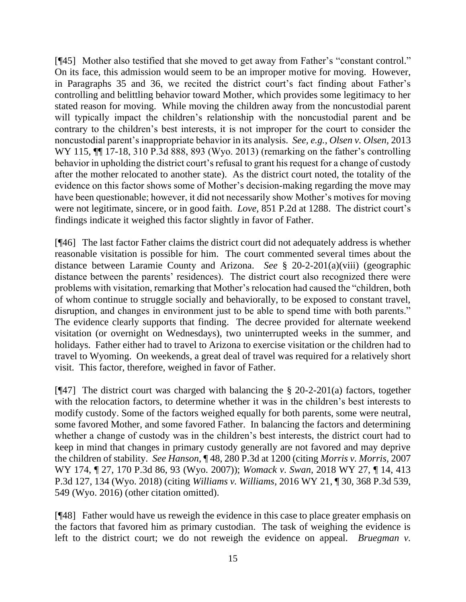[¶45] Mother also testified that she moved to get away from Father's "constant control." On its face, this admission would seem to be an improper motive for moving. However, in Paragraphs 35 and 36, we recited the district court's fact finding about Father's controlling and belittling behavior toward Mother, which provides some legitimacy to her stated reason for moving. While moving the children away from the noncustodial parent will typically impact the children's relationship with the noncustodial parent and be contrary to the children's best interests, it is not improper for the court to consider the noncustodial parent's inappropriate behavior in its analysis. *See, e.g., Olsen v. Olsen,* 2013 WY 115,  $\P$  17-18, 310 P.3d 888, 893 (Wyo. 2013) (remarking on the father's controlling behavior in upholding the district court's refusal to grant his request for a change of custody after the mother relocated to another state). As the district court noted, the totality of the evidence on this factor shows some of Mother's decision-making regarding the move may have been questionable; however, it did not necessarily show Mother's motives for moving were not legitimate, sincere, or in good faith. *Love,* 851 P.2d at 1288. The district court's findings indicate it weighed this factor slightly in favor of Father.

[¶46] The last factor Father claims the district court did not adequately address is whether reasonable visitation is possible for him. The court commented several times about the distance between Laramie County and Arizona. *See* § 20-2-201(a)(viii) (geographic distance between the parents' residences). The district court also recognized there were problems with visitation, remarking that Mother's relocation had caused the "children, both of whom continue to struggle socially and behaviorally, to be exposed to constant travel, disruption, and changes in environment just to be able to spend time with both parents." The evidence clearly supports that finding. The decree provided for alternate weekend visitation (or overnight on Wednesdays), two uninterrupted weeks in the summer, and holidays. Father either had to travel to Arizona to exercise visitation or the children had to travel to Wyoming. On weekends, a great deal of travel was required for a relatively short visit. This factor, therefore, weighed in favor of Father.

[ $[$ 47] The district court was charged with balancing the § 20-2-201(a) factors, together with the relocation factors, to determine whether it was in the children's best interests to modify custody. Some of the factors weighed equally for both parents, some were neutral, some favored Mother, and some favored Father. In balancing the factors and determining whether a change of custody was in the children's best interests, the district court had to keep in mind that changes in primary custody generally are not favored and may deprive the children of stability. *See Hanson,* ¶ 48, 280 P.3d at 1200 (citing *Morris v. Morris,* 2007 WY 174, ¶ 27, 170 P.3d 86, 93 (Wyo. 2007)); *Womack v. Swan,* 2018 WY 27, ¶ 14, 413 P.3d 127, 134 (Wyo. 2018) (citing *Williams v. Williams*, 2016 WY 21, ¶ 30, 368 P.3d 539, 549 (Wyo. 2016) (other citation omitted).

[¶48] Father would have us reweigh the evidence in this case to place greater emphasis on the factors that favored him as primary custodian. The task of weighing the evidence is left to the district court; we do not reweigh the evidence on appeal. *Bruegman v.*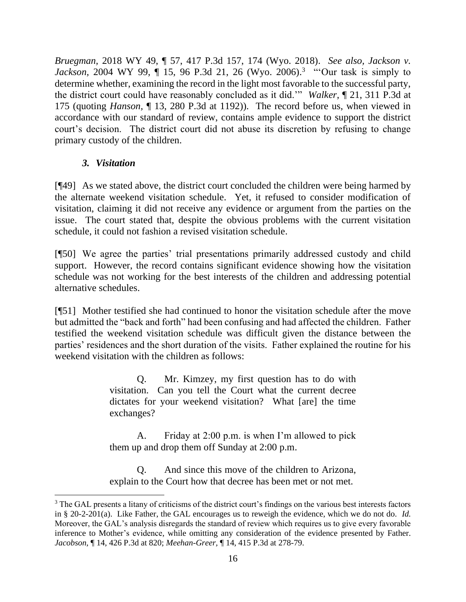*Bruegman,* 2018 WY 49, ¶ 57, 417 P.3d 157, 174 (Wyo. 2018). *See also, Jackson v. Jackson*, 2004 WY 99, ¶ 15, 96 P.3d 21, 26 (Wyo. 2006).<sup>3</sup> "Our task is simply to determine whether, examining the record in the light most favorable to the successful party, the district court could have reasonably concluded as it did.'" *Walker,* ¶ 21, 311 P.3d at 175 (quoting *Hanson,* ¶ 13, 280 P.3d at 1192)). The record before us, when viewed in accordance with our standard of review, contains ample evidence to support the district court's decision. The district court did not abuse its discretion by refusing to change primary custody of the children.

## *3. Visitation*

[¶49] As we stated above, the district court concluded the children were being harmed by the alternate weekend visitation schedule. Yet, it refused to consider modification of visitation, claiming it did not receive any evidence or argument from the parties on the issue. The court stated that, despite the obvious problems with the current visitation schedule, it could not fashion a revised visitation schedule.

[¶50] We agree the parties' trial presentations primarily addressed custody and child support. However, the record contains significant evidence showing how the visitation schedule was not working for the best interests of the children and addressing potential alternative schedules.

[¶51] Mother testified she had continued to honor the visitation schedule after the move but admitted the "back and forth" had been confusing and had affected the children. Father testified the weekend visitation schedule was difficult given the distance between the parties' residences and the short duration of the visits. Father explained the routine for his weekend visitation with the children as follows:

> Q. Mr. Kimzey, my first question has to do with visitation. Can you tell the Court what the current decree dictates for your weekend visitation? What [are] the time exchanges?

> A. Friday at 2:00 p.m. is when I'm allowed to pick them up and drop them off Sunday at 2:00 p.m.

> Q. And since this move of the children to Arizona, explain to the Court how that decree has been met or not met.

<sup>&</sup>lt;sup>3</sup> The GAL presents a litany of criticisms of the district court's findings on the various best interests factors in § 20-2-201(a). Like Father, the GAL encourages us to reweigh the evidence, which we do not do. *Id.* Moreover, the GAL's analysis disregards the standard of review which requires us to give every favorable inference to Mother's evidence, while omitting any consideration of the evidence presented by Father. *Jacobson,* ¶ 14, 426 P.3d at 820; *Meehan-Greer,* ¶ 14, 415 P.3d at 278-79.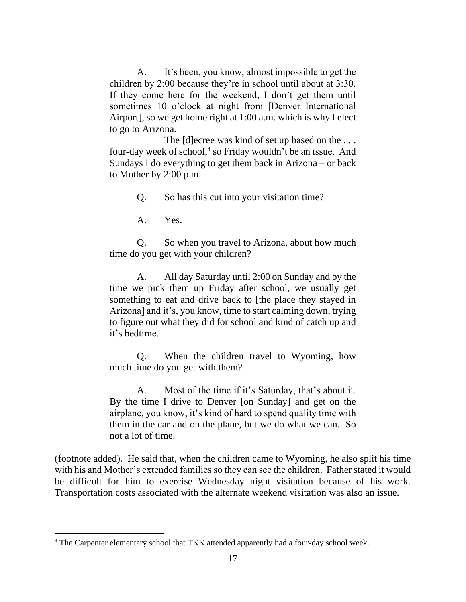A. It's been, you know, almost impossible to get the children by 2:00 because they're in school until about at 3:30. If they come here for the weekend, I don't get them until sometimes 10 o'clock at night from [Denver International Airport], so we get home right at 1:00 a.m. which is why I elect to go to Arizona.

The [d]ecree was kind of set up based on the . . . four-day week of school,<sup>4</sup> so Friday wouldn't be an issue. And Sundays I do everything to get them back in Arizona – or back to Mother by 2:00 p.m.

Q. So has this cut into your visitation time?

A. Yes.

Q. So when you travel to Arizona, about how much time do you get with your children?

A. All day Saturday until 2:00 on Sunday and by the time we pick them up Friday after school, we usually get something to eat and drive back to [the place they stayed in Arizona] and it's, you know, time to start calming down, trying to figure out what they did for school and kind of catch up and it's bedtime.

Q. When the children travel to Wyoming, how much time do you get with them?

A. Most of the time if it's Saturday, that's about it. By the time I drive to Denver [on Sunday] and get on the airplane, you know, it's kind of hard to spend quality time with them in the car and on the plane, but we do what we can. So not a lot of time.

(footnote added). He said that, when the children came to Wyoming, he also split his time with his and Mother's extended families so they can see the children. Father stated it would be difficult for him to exercise Wednesday night visitation because of his work. Transportation costs associated with the alternate weekend visitation was also an issue.

<sup>&</sup>lt;sup>4</sup> The Carpenter elementary school that TKK attended apparently had a four-day school week.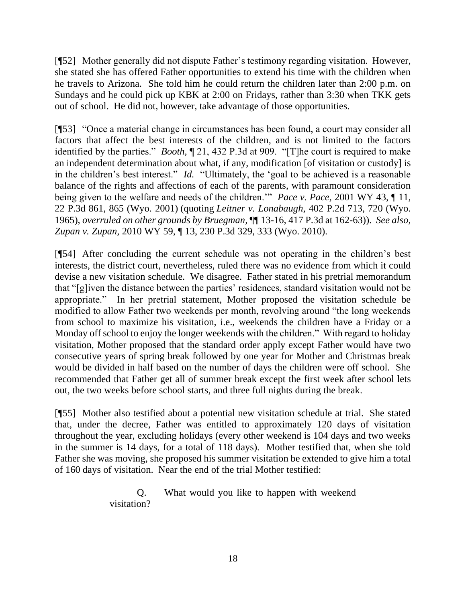[¶52] Mother generally did not dispute Father's testimony regarding visitation. However, she stated she has offered Father opportunities to extend his time with the children when he travels to Arizona. She told him he could return the children later than 2:00 p.m. on Sundays and he could pick up KBK at 2:00 on Fridays, rather than 3:30 when TKK gets out of school. He did not, however, take advantage of those opportunities.

[¶53] "Once a material change in circumstances has been found, a court may consider all factors that affect the best interests of the children, and is not limited to the factors identified by the parties." *Booth,* ¶ 21, 432 P.3d at 909. "[T]he court is required to make an independent determination about what, if any, modification [of visitation or custody] is in the children's best interest." *Id.* "Ultimately, the 'goal to be achieved is a reasonable balance of the rights and affections of each of the parents, with paramount consideration being given to the welfare and needs of the children.'" *Pace v. Pace,* 2001 WY 43, ¶ 11, 22 P.3d 861, 865 (Wyo. 2001) (quoting *Leitner v. Lonabaugh,* 402 P.2d 713, 720 (Wyo. 1965), *overruled on other grounds by Bruegman,* ¶¶ 13-16, 417 P.3d at 162-63)). *See also, Zupan v. Zupan,* 2010 WY 59, ¶ 13, 230 P.3d 329, 333 (Wyo. 2010).

[¶54] After concluding the current schedule was not operating in the children's best interests, the district court, nevertheless, ruled there was no evidence from which it could devise a new visitation schedule. We disagree. Father stated in his pretrial memorandum that "[g]iven the distance between the parties' residences, standard visitation would not be appropriate." In her pretrial statement, Mother proposed the visitation schedule be modified to allow Father two weekends per month, revolving around "the long weekends from school to maximize his visitation, i.e., weekends the children have a Friday or a Monday off school to enjoy the longer weekends with the children." With regard to holiday visitation, Mother proposed that the standard order apply except Father would have two consecutive years of spring break followed by one year for Mother and Christmas break would be divided in half based on the number of days the children were off school. She recommended that Father get all of summer break except the first week after school lets out, the two weeks before school starts, and three full nights during the break.

[¶55] Mother also testified about a potential new visitation schedule at trial. She stated that, under the decree, Father was entitled to approximately 120 days of visitation throughout the year, excluding holidays (every other weekend is 104 days and two weeks in the summer is 14 days, for a total of 118 days). Mother testified that, when she told Father she was moving, she proposed his summer visitation be extended to give him a total of 160 days of visitation. Near the end of the trial Mother testified:

> Q. What would you like to happen with weekend visitation?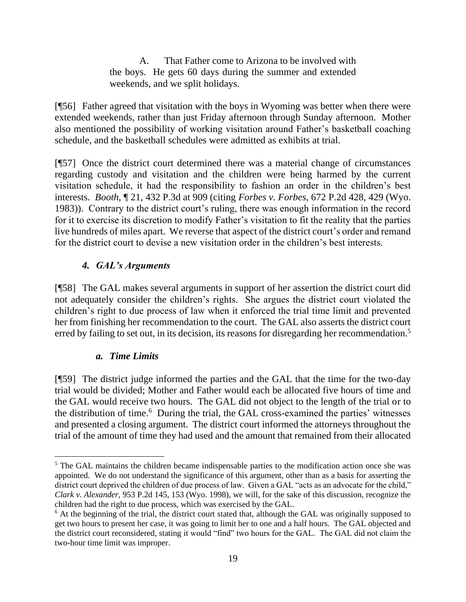A. That Father come to Arizona to be involved with the boys. He gets 60 days during the summer and extended weekends, and we split holidays.

[¶56] Father agreed that visitation with the boys in Wyoming was better when there were extended weekends, rather than just Friday afternoon through Sunday afternoon. Mother also mentioned the possibility of working visitation around Father's basketball coaching schedule, and the basketball schedules were admitted as exhibits at trial.

[¶57] Once the district court determined there was a material change of circumstances regarding custody and visitation and the children were being harmed by the current visitation schedule, it had the responsibility to fashion an order in the children's best interests. *Booth,* ¶ 21, 432 P.3d at 909 (citing *Forbes v. Forbes*, 672 P.2d 428, 429 (Wyo. 1983)). Contrary to the district court's ruling, there was enough information in the record for it to exercise its discretion to modify Father's visitation to fit the reality that the parties live hundreds of miles apart. We reverse that aspect of the district court's order and remand for the district court to devise a new visitation order in the children's best interests.

# *4. GAL's Arguments*

[¶58] The GAL makes several arguments in support of her assertion the district court did not adequately consider the children's rights. She argues the district court violated the children's right to due process of law when it enforced the trial time limit and prevented her from finishing her recommendation to the court. The GAL also asserts the district court erred by failing to set out, in its decision, its reasons for disregarding her recommendation.<sup>5</sup>

# *a. Time Limits*

[¶59] The district judge informed the parties and the GAL that the time for the two-day trial would be divided; Mother and Father would each be allocated five hours of time and the GAL would receive two hours. The GAL did not object to the length of the trial or to the distribution of time.<sup>6</sup> During the trial, the GAL cross-examined the parties' witnesses and presented a closing argument. The district court informed the attorneys throughout the trial of the amount of time they had used and the amount that remained from their allocated

<sup>&</sup>lt;sup>5</sup> The GAL maintains the children became indispensable parties to the modification action once she was appointed. We do not understand the significance of this argument, other than as a basis for asserting the district court deprived the children of due process of law. Given a GAL "acts as an advocate for the child," *Clark v. Alexander,* 953 P.2d 145, 153 (Wyo. 1998), we will, for the sake of this discussion, recognize the children had the right to due process, which was exercised by the GAL.

<sup>&</sup>lt;sup>6</sup> At the beginning of the trial, the district court stated that, although the GAL was originally supposed to get two hours to present her case, it was going to limit her to one and a half hours. The GAL objected and the district court reconsidered, stating it would "find" two hours for the GAL. The GAL did not claim the two-hour time limit was improper.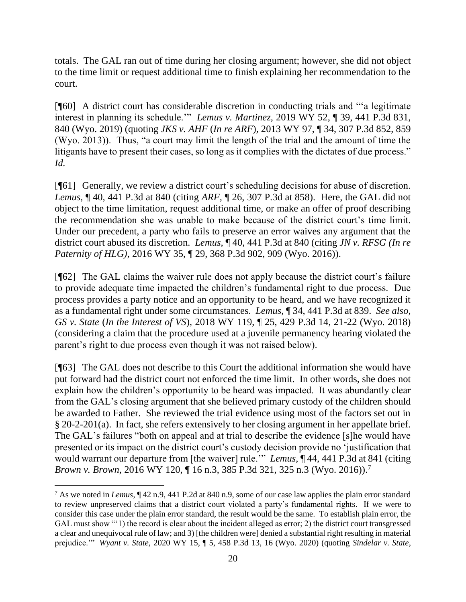totals. The GAL ran out of time during her closing argument; however, she did not object to the time limit or request additional time to finish explaining her recommendation to the court.

[¶60] A district court has considerable discretion in conducting trials and "'a legitimate interest in planning its schedule.'" *Lemus v. Martinez,* 2019 WY 52, ¶ 39, 441 P.3d 831, 840 (Wyo. 2019) (quoting *JKS v. AHF* (*In re ARF*)*,* 2013 WY 97, ¶ 34, 307 P.3d 852, 859 (Wyo. 2013)). Thus, "a court may limit the length of the trial and the amount of time the litigants have to present their cases, so long as it complies with the dictates of due process." *Id.*

[¶61] Generally, we review a district court's scheduling decisions for abuse of discretion. *Lemus,* ¶ 40, 441 P.3d at 840 (citing *ARF,* ¶ 26, 307 P.3d at 858). Here, the GAL did not object to the time limitation, request additional time, or make an offer of proof describing the recommendation she was unable to make because of the district court's time limit. Under our precedent, a party who fails to preserve an error waives any argument that the district court abused its discretion. *Lemus,* ¶ 40, 441 P.3d at 840 (citing *JN v. RFSG (In re Paternity of HLG),* 2016 WY 35, ¶ 29, 368 P.3d 902, 909 (Wyo. 2016)).

[¶62] The GAL claims the waiver rule does not apply because the district court's failure to provide adequate time impacted the children's fundamental right to due process. Due process provides a party notice and an opportunity to be heard, and we have recognized it as a fundamental right under some circumstances. *Lemus,* ¶ 34, 441 P.3d at 839. *See also, GS v. State* (*In the Interest of VS*)*,* 2018 WY 119, ¶ 25, 429 P.3d 14, 21-22 (Wyo. 2018) (considering a claim that the procedure used at a juvenile permanency hearing violated the parent's right to due process even though it was not raised below).

[¶63] The GAL does not describe to this Court the additional information she would have put forward had the district court not enforced the time limit. In other words, she does not explain how the children's opportunity to be heard was impacted. It was abundantly clear from the GAL's closing argument that she believed primary custody of the children should be awarded to Father. She reviewed the trial evidence using most of the factors set out in § 20-2-201(a). In fact, she refers extensively to her closing argument in her appellate brief. The GAL's failures "both on appeal and at trial to describe the evidence [s]he would have presented or its impact on the district court's custody decision provide no 'justification that would warrant our departure from [the waiver] rule.'" *Lemus,* ¶ 44, 441 P.3d at 841 (citing *Brown v. Brown,* 2016 WY 120, ¶ 16 n.3, 385 P.3d 321, 325 n.3 (Wyo. 2016)). 7

<sup>7</sup> As we noted in *Lemus,* ¶ 42 n.9, 441 P.2d at 840 n.9, some of our case law applies the plain error standard to review unpreserved claims that a district court violated a party's fundamental rights. If we were to consider this case under the plain error standard, the result would be the same. To establish plain error, the GAL must show "'1) the record is clear about the incident alleged as error; 2) the district court transgressed a clear and unequivocal rule of law; and 3) [the children were] denied a substantial right resulting in material prejudice.'" *Wyant v. State,* 2020 WY 15, ¶ 5, 458 P.3d 13, 16 (Wyo. 2020) (quoting *Sindelar v. State*,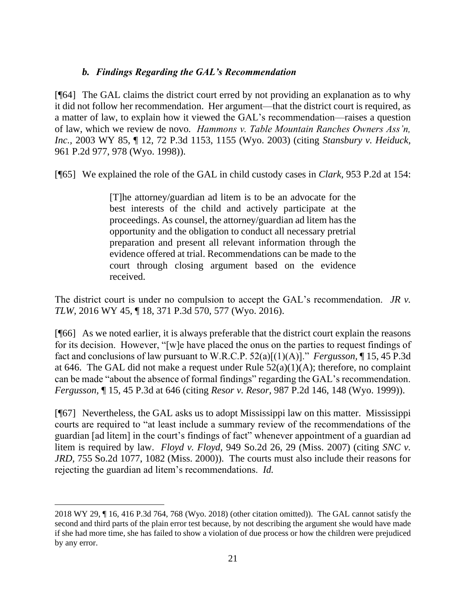## *b. Findings Regarding the GAL's Recommendation*

[¶64] The GAL claims the district court erred by not providing an explanation as to why it did not follow her recommendation. Her argument—that the district court is required, as a matter of law, to explain how it viewed the GAL's recommendation—raises a question of law, which we review de novo*. Hammons v. Table Mountain Ranches Owners Ass'n, Inc.,* 2003 WY 85, ¶ 12, 72 P.3d 1153, 1155 (Wyo. 2003) (citing *Stansbury v. Heiduck,* 961 P.2d 977, 978 (Wyo. 1998)).

[¶65] We explained the role of the GAL in child custody cases in *Clark,* 953 P.2d at 154:

[T]he attorney/guardian ad litem is to be an advocate for the best interests of the child and actively participate at the proceedings. As counsel, the attorney/guardian ad litem has the opportunity and the obligation to conduct all necessary pretrial preparation and present all relevant information through the evidence offered at trial. Recommendations can be made to the court through closing argument based on the evidence received.

The district court is under no compulsion to accept the GAL's recommendation. *JR v. TLW,* 2016 WY 45, ¶ 18, 371 P.3d 570, 577 (Wyo. 2016).

[¶66] As we noted earlier, it is always preferable that the district court explain the reasons for its decision. However, "[w]e have placed the onus on the parties to request findings of fact and conclusions of law pursuant to W.R.C.P. 52(a)[(1)(A)]." *Fergusson,* ¶ 15, 45 P.3d at 646. The GAL did not make a request under Rule  $52(a)(1)(A)$ ; therefore, no complaint can be made "about the absence of formal findings" regarding the GAL's recommendation. *Fergusson,* ¶ 15, 45 P.3d at 646 (citing *Resor v. Resor,* 987 P.2d 146, 148 (Wyo. 1999)).

[¶67] Nevertheless, the GAL asks us to adopt Mississippi law on this matter. Mississippi courts are required to "at least include a summary review of the recommendations of the guardian [ad litem] in the court's findings of fact" whenever appointment of a guardian ad litem is required by law. *Floyd v. Floyd,* 949 So.2d 26, 29 (Miss. 2007) (citing *SNC v. JRD,* 755 So.2d 1077, 1082 (Miss. 2000)). The courts must also include their reasons for rejecting the guardian ad litem's recommendations. *Id.* 

<sup>2018</sup> WY 29, ¶ 16, 416 P.3d 764, 768 (Wyo. 2018) (other citation omitted)). The GAL cannot satisfy the second and third parts of the plain error test because, by not describing the argument she would have made if she had more time, she has failed to show a violation of due process or how the children were prejudiced by any error.